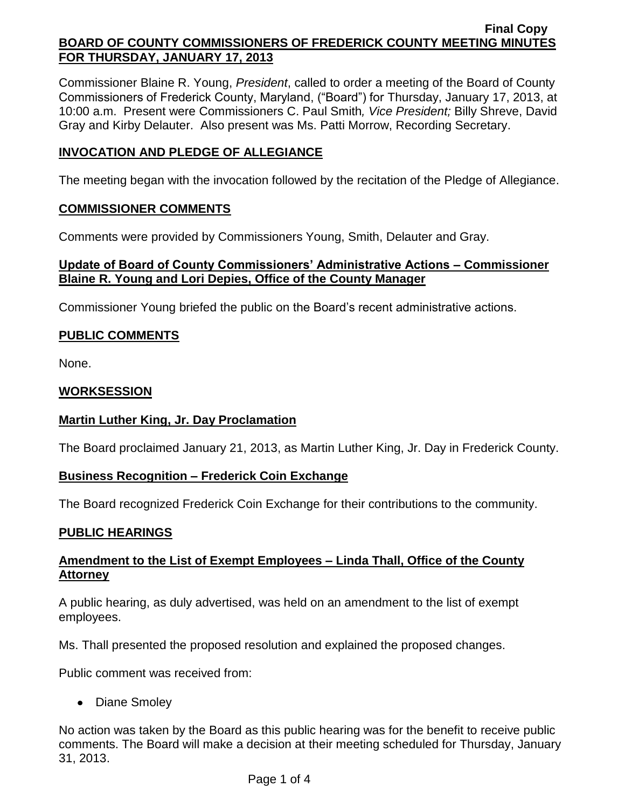Commissioner Blaine R. Young, *President*, called to order a meeting of the Board of County Commissioners of Frederick County, Maryland, ("Board") for Thursday, January 17, 2013, at 10:00 a.m. Present were Commissioners C. Paul Smith*, Vice President;* Billy Shreve, David Gray and Kirby Delauter. Also present was Ms. Patti Morrow, Recording Secretary.

# **INVOCATION AND PLEDGE OF ALLEGIANCE**

The meeting began with the invocation followed by the recitation of the Pledge of Allegiance.

### **COMMISSIONER COMMENTS**

Comments were provided by Commissioners Young, Smith, Delauter and Gray.

### **Update of Board of County Commissioners' Administrative Actions – Commissioner Blaine R. Young and Lori Depies, Office of the County Manager**

Commissioner Young briefed the public on the Board's recent administrative actions.

# **PUBLIC COMMENTS**

None.

### **WORKSESSION**

### **Martin Luther King, Jr. Day Proclamation**

The Board proclaimed January 21, 2013, as Martin Luther King, Jr. Day in Frederick County.

### **Business Recognition – Frederick Coin Exchange**

The Board recognized Frederick Coin Exchange for their contributions to the community.

### **PUBLIC HEARINGS**

# **Amendment to the List of Exempt Employees – Linda Thall, Office of the County Attorney**

A public hearing, as duly advertised, was held on an amendment to the list of exempt employees.

Ms. Thall presented the proposed resolution and explained the proposed changes.

Public comment was received from:

• Diane Smoley

No action was taken by the Board as this public hearing was for the benefit to receive public comments. The Board will make a decision at their meeting scheduled for Thursday, January 31, 2013.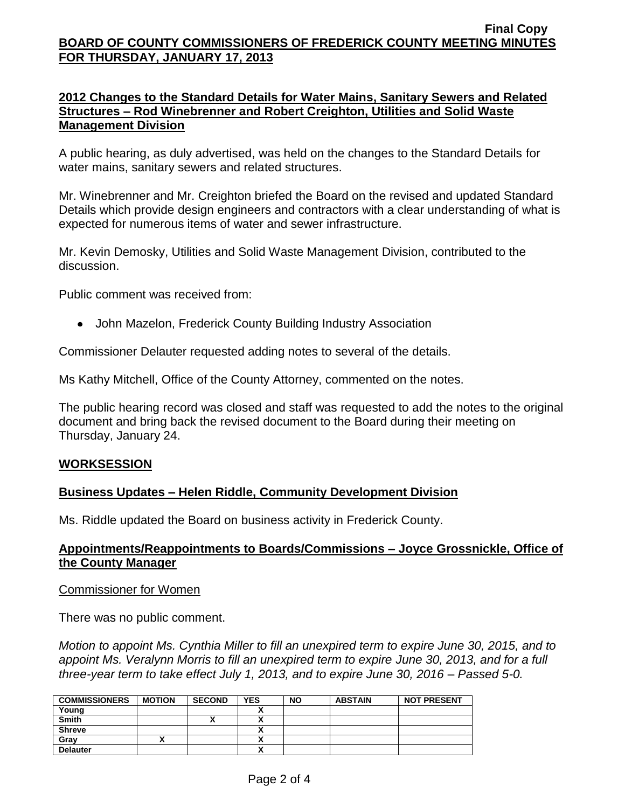#### **2012 Changes to the Standard Details for Water Mains, Sanitary Sewers and Related Structures – Rod Winebrenner and Robert Creighton, Utilities and Solid Waste Management Division**

A public hearing, as duly advertised, was held on the changes to the Standard Details for water mains, sanitary sewers and related structures.

Mr. Winebrenner and Mr. Creighton briefed the Board on the revised and updated Standard Details which provide design engineers and contractors with a clear understanding of what is expected for numerous items of water and sewer infrastructure.

Mr. Kevin Demosky, Utilities and Solid Waste Management Division, contributed to the discussion.

Public comment was received from:

John Mazelon, Frederick County Building Industry Association

Commissioner Delauter requested adding notes to several of the details.

Ms Kathy Mitchell, Office of the County Attorney, commented on the notes.

The public hearing record was closed and staff was requested to add the notes to the original document and bring back the revised document to the Board during their meeting on Thursday, January 24.

#### **WORKSESSION**

### **Business Updates – Helen Riddle, Community Development Division**

Ms. Riddle updated the Board on business activity in Frederick County.

### **Appointments/Reappointments to Boards/Commissions – Joyce Grossnickle, Office of the County Manager**

#### Commissioner for Women

There was no public comment.

*Motion to appoint Ms. Cynthia Miller to fill an unexpired term to expire June 30, 2015, and to appoint Ms. Veralynn Morris to fill an unexpired term to expire June 30, 2013, and for a full three-year term to take effect July 1, 2013, and to expire June 30, 2016 – Passed 5-0.*

| <b>COMMISSIONERS</b> | <b>MOTION</b> | <b>SECOND</b> | <b>YES</b>                | <b>NO</b> | <b>ABSTAIN</b> | <b>NOT PRESENT</b> |
|----------------------|---------------|---------------|---------------------------|-----------|----------------|--------------------|
| Young                |               |               |                           |           |                |                    |
| <b>Smith</b>         |               |               |                           |           |                |                    |
| <b>Shreve</b>        |               |               | ~                         |           |                |                    |
| Grav                 |               |               | ,,                        |           |                |                    |
| <b>Delauter</b>      |               |               | $\ddot{\phantom{1}}$<br>~ |           |                |                    |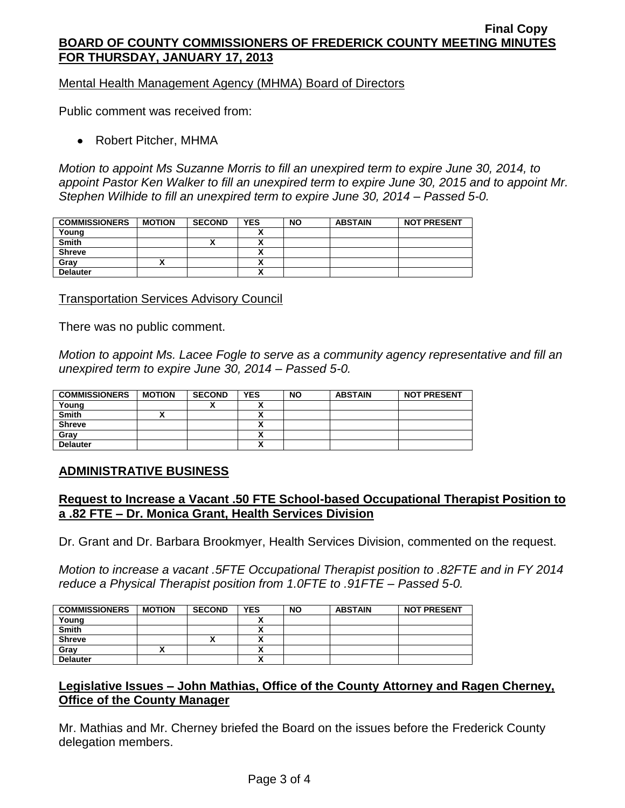Mental Health Management Agency (MHMA) Board of Directors

Public comment was received from:

Robert Pitcher, MHMA

*Motion to appoint Ms Suzanne Morris to fill an unexpired term to expire June 30, 2014, to appoint Pastor Ken Walker to fill an unexpired term to expire June 30, 2015 and to appoint Mr. Stephen Wilhide to fill an unexpired term to expire June 30, 2014 – Passed 5-0.*

| <b>COMMISSIONERS</b> | <b>MOTION</b> | <b>SECOND</b> | <b>YES</b> | <b>NO</b> | <b>ABSTAIN</b> | <b>NOT PRESENT</b> |
|----------------------|---------------|---------------|------------|-----------|----------------|--------------------|
| Young                |               |               |            |           |                |                    |
| <b>Smith</b>         |               |               |            |           |                |                    |
| <b>Shreve</b>        |               |               |            |           |                |                    |
| Gray                 |               |               |            |           |                |                    |
| <b>Delauter</b>      |               |               | n          |           |                |                    |

Transportation Services Advisory Council

There was no public comment.

*Motion to appoint Ms. Lacee Fogle to serve as a community agency representative and fill an unexpired term to expire June 30, 2014 – Passed 5-0.*

| <b>COMMISSIONERS</b> | <b>MOTION</b> | <b>SECOND</b> | <b>YES</b> | <b>NO</b> | <b>ABSTAIN</b> | <b>NOT PRESENT</b> |
|----------------------|---------------|---------------|------------|-----------|----------------|--------------------|
| Young                |               |               |            |           |                |                    |
| <b>Smith</b>         |               |               |            |           |                |                    |
| <b>Shreve</b>        |               |               |            |           |                |                    |
| Gray                 |               |               |            |           |                |                    |
| <b>Delauter</b>      |               |               | A          |           |                |                    |

### **ADMINISTRATIVE BUSINESS**

### **Request to Increase a Vacant .50 FTE School-based Occupational Therapist Position to a .82 FTE – Dr. Monica Grant, Health Services Division**

Dr. Grant and Dr. Barbara Brookmyer, Health Services Division, commented on the request.

*Motion to increase a vacant .5FTE Occupational Therapist position to .82FTE and in FY 2014 reduce a Physical Therapist position from 1.0FTE to .91FTE – Passed 5-0.*

| <b>COMMISSIONERS</b> | <b>MOTION</b> | <b>SECOND</b> | <b>YES</b>               | <b>NO</b> | <b>ABSTAIN</b> | <b>NOT PRESENT</b> |
|----------------------|---------------|---------------|--------------------------|-----------|----------------|--------------------|
| Young                |               |               |                          |           |                |                    |
| Smith                |               |               | ~                        |           |                |                    |
| <b>Shreve</b>        |               |               |                          |           |                |                    |
| Gray                 |               |               | v                        |           |                |                    |
| <b>Delauter</b>      |               |               | $\overline{\phantom{a}}$ |           |                |                    |

# **Legislative Issues – John Mathias, Office of the County Attorney and Ragen Cherney, Office of the County Manager**

Mr. Mathias and Mr. Cherney briefed the Board on the issues before the Frederick County delegation members.